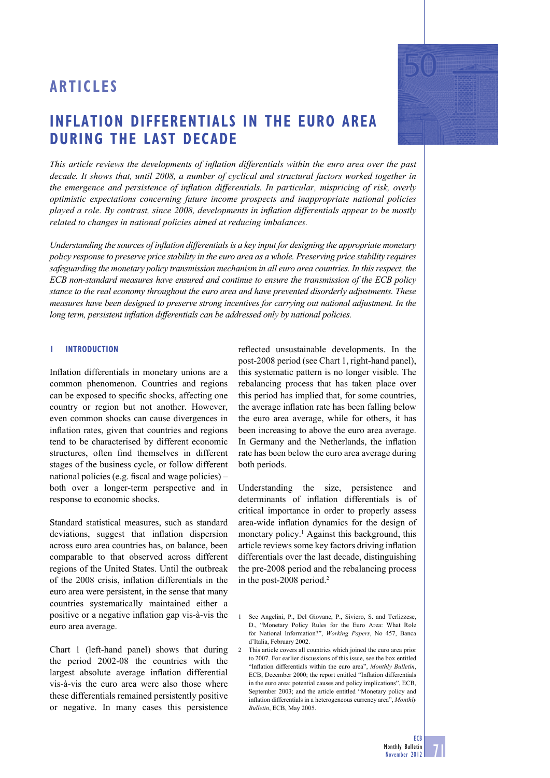# **INFLATION DIFFERENTIALS IN THE EURO AREA DURING THE LAST DECADE**

*This article reviews the developments of inflation differentials within the euro area over the past decade. It shows that, until 2008, a number of cyclical and structural factors worked together in the emergence and persistence of inflation differentials. In particular, mispricing of risk, overly optimistic expectations concerning future income prospects and inappropriate national policies played a role. By contrast, since 2008, developments in inflation differentials appear to be mostly related to changes in national policies aimed at reducing imbalances.* 

*Understanding the sources of inflation differentials is a key input for designing the appropriate monetary policy response to preserve price stability in the euro area as a whole. Preserving price stability requires safeguarding the monetary policy transmission mechanism in all euro area countries. In this respect, the ECB non-standard measures have ensured and continue to ensure the transmission of the ECB policy stance to the real economy throughout the euro area and have prevented disorderly adjustments. These measures have been designed to preserve strong incentives for carrying out national adjustment. In the long term, persistent inflation differentials can be addressed only by national policies.* 

# **1 INTRODUCTION**

Inflation differentials in monetary unions are a common phenomenon. Countries and regions can be exposed to specific shocks, affecting one country or region but not another. However, even common shocks can cause divergences in inflation rates, given that countries and regions tend to be characterised by different economic structures, often find themselves in different stages of the business cycle, or follow different national policies (e.g. fiscal and wage policies)  $$ both over a longer-term perspective and in response to economic shocks.

Standard statistical measures, such as standard deviations, suggest that inflation dispersion across euro area countries has, on balance, been comparable to that observed across different regions of the United States. Until the outbreak of the 2008 crisis, inflation differentials in the euro area were persistent, in the sense that many countries systematically maintained either a positive or a negative inflation gap vis-à-vis the euro area average.

Chart 1 (left-hand panel) shows that during the period 2002-08 the countries with the largest absolute average inflation differential vis-à-vis the euro area were also those where these differentials remained persistently positive or negative. In many cases this persistence

reflected unsustainable developments. In the post-2008 period (see Chart 1, right-hand panel), this systematic pattern is no longer visible. The rebalancing process that has taken place over this period has implied that, for some countries, the average inflation rate has been falling below the euro area average, while for others, it has been increasing to above the euro area average. In Germany and the Netherlands, the inflation rate has been below the euro area average during both periods.

Understanding the size, persistence and determinants of inflation differentials is of critical importance in order to properly assess area-wide inflation dynamics for the design of monetary policy.<sup>1</sup> Against this background, this article reviews some key factors driving inflation differentials over the last decade, distinguishing the pre-2008 period and the rebalancing process in the post-2008 period.2

<sup>1</sup> See Angelini, P., Del Giovane, P., Siviero, S. and Terlizzese, D., "Monetary Policy Rules for the Euro Area: What Role for National Information?", *Working Papers*, No 457, Banca d'Italia, February 2002.

<sup>2</sup> This article covers all countries which joined the euro area prior to 2007. For earlier discussions of this issue, see the box entitled "Infl ation differentials within the euro area", *Monthly Bulletin*, ECB, December 2000; the report entitled "Inflation differentials in the euro area: potential causes and policy implications", ECB, September 2003; and the article entitled "Monetary policy and inflation differentials in a heterogeneous currency area", *Monthly Bulletin*, ECB, May 2005.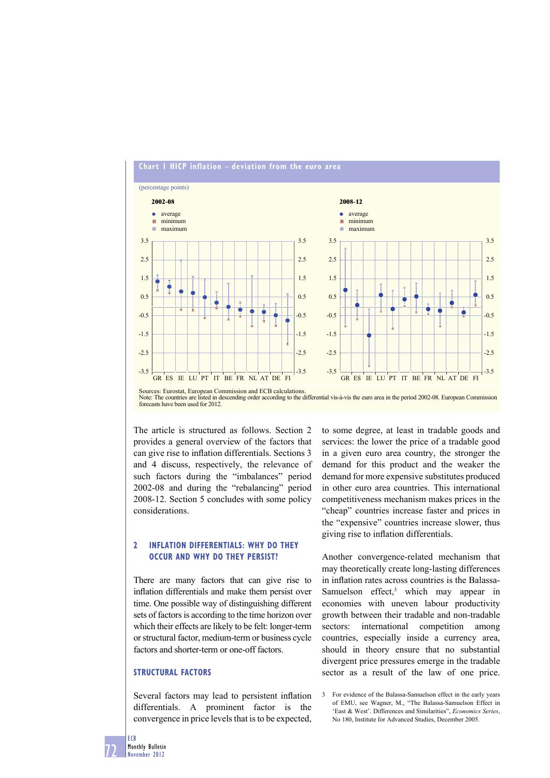

Sources: Eurostat, European Commission and ECB calculations. Note: The countries are listed in descending order according to the differential vis-à-vis the euro area in the period 2002-08. European Commission forecasts have been used for 2012.

The article is structured as follows. Section 2 provides a general overview of the factors that can give rise to inflation differentials. Sections 3 and 4 discuss, respectively, the relevance of such factors during the "imbalances" period 2002-08 and during the "rebalancing" period 2008-12. Section 5 concludes with some policy considerations.

# **2 INFLATION DIFFERENTIALS: WHY DO THEY OCCUR AND WHY DO THEY PERSIST?**

There are many factors that can give rise to inflation differentials and make them persist over time. One possible way of distinguishing different sets of factors is according to the time horizon over which their effects are likely to be felt: longer-term or structural factor, medium-term or business cycle factors and shorter-term or one-off factors.

# **STRUCTURAL FACTORS**

Several factors may lead to persistent inflation differentials. A prominent factor is the convergence in price levels that is to be expected,

to some degree, at least in tradable goods and services: the lower the price of a tradable good in a given euro area country, the stronger the demand for this product and the weaker the demand for more expensive substitutes produced in other euro area countries. This international competitiveness mechanism makes prices in the "cheap" countries increase faster and prices in the "expensive" countries increase slower, thus giving rise to inflation differentials.

Another convergence-related mechanism that may theoretically create long-lasting differences in inflation rates across countries is the Balassa-Samuelson effect,<sup>3</sup> which may appear in economies with uneven labour productivity growth between their tradable and non-tradable sectors: international competition among countries, especially inside a currency area, should in theory ensure that no substantial divergent price pressures emerge in the tradable sector as a result of the law of one price.

ECB

<sup>3</sup> For evidence of the Balassa-Samuelson effect in the early years of EMU, see Wagner, M., "The Balassa-Samuelson Effect in 'East & West'. Differences and Similarities", *Economics Series*, No 180, Institute for Advanced Studies, December 2005.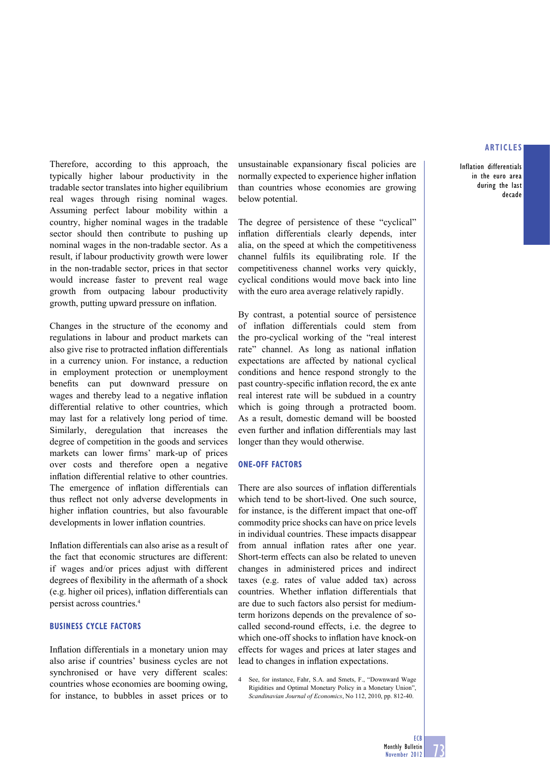Inflation differentials in the euro area during the last decade

Therefore, according to this approach, the typically higher labour productivity in the tradable sector translates into higher equilibrium real wages through rising nominal wages. Assuming perfect labour mobility within a country, higher nominal wages in the tradable sector should then contribute to pushing up nominal wages in the non-tradable sector. As a result, if labour productivity growth were lower in the non-tradable sector, prices in that sector would increase faster to prevent real wage growth from outpacing labour productivity growth, putting upward pressure on inflation.

Changes in the structure of the economy and regulations in labour and product markets can also give rise to protracted inflation differentials in a currency union. For instance, a reduction in employment protection or unemployment benefits can put downward pressure on wages and thereby lead to a negative inflation differential relative to other countries, which may last for a relatively long period of time. Similarly, deregulation that increases the degree of competition in the goods and services markets can lower firms' mark-up of prices over costs and therefore open a negative inflation differential relative to other countries. The emergence of inflation differentials can thus reflect not only adverse developments in higher inflation countries, but also favourable developments in lower inflation countries.

Inflation differentials can also arise as a result of the fact that economic structures are different: if wages and/or prices adjust with different degrees of flexibility in the aftermath of a shock (e.g. higher oil prices), inflation differentials can persist across countries.4

# **BUSINESS CYCLE FACTORS**

Inflation differentials in a monetary union may also arise if countries' business cycles are not synchronised or have very different scales: countries whose economies are booming owing, for instance, to bubbles in asset prices or to unsustainable expansionary fiscal policies are normally expected to experience higher inflation than countries whose economies are growing below potential.

The degree of persistence of these "cyclical" inflation differentials clearly depends, inter alia, on the speed at which the competitiveness channel fulfils its equilibrating role. If the competitiveness channel works very quickly, cyclical conditions would move back into line with the euro area average relatively rapidly.

By contrast, a potential source of persistence of inflation differentials could stem from the pro-cyclical working of the "real interest rate" channel. As long as national inflation expectations are affected by national cyclical conditions and hence respond strongly to the past country-specific inflation record, the ex ante real interest rate will be subdued in a country which is going through a protracted boom. As a result, domestic demand will be boosted even further and inflation differentials may last longer than they would otherwise.

### **ONE-OFF FACTORS**

There are also sources of inflation differentials which tend to be short-lived. One such source, for instance, is the different impact that one-off commodity price shocks can have on price levels in individual countries. These impacts disappear from annual inflation rates after one year. Short-term effects can also be related to uneven changes in administered prices and indirect taxes (e.g. rates of value added tax) across countries. Whether inflation differentials that are due to such factors also persist for mediumterm horizons depends on the prevalence of socalled second-round effects, i.e. the degree to which one-off shocks to inflation have knock-on effects for wages and prices at later stages and lead to changes in inflation expectations.

See, for instance, Fahr, S.A. and Smets, F., "Downward Wage Rigidities and Optimal Monetary Policy in a Monetary Union", *Scandinavian Journal of Economics*, No 112, 2010, pp. 812-40.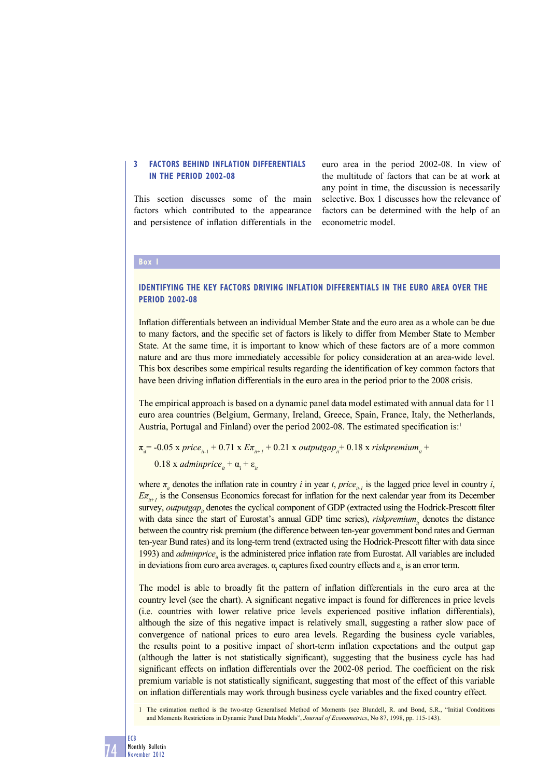# **3 FACTORS BEHIND INFLATION DIFFERENTIALS IN THE PERIOD 2002-08**

This section discusses some of the main factors which contributed to the appearance and persistence of inflation differentials in the

euro area in the period 2002-08. In view of the multitude of factors that can be at work at any point in time, the discussion is necessarily selective. Box 1 discusses how the relevance of factors can be determined with the help of an econometric model.

### **Box 1**

# **IDENTIFYING THE KEY FACTORS DRIVING INFLATION DIFFERENTIALS IN THE EURO AREA OVER THE PERIOD 2002-08**

Inflation differentials between an individual Member State and the euro area as a whole can be due to many factors, and the specific set of factors is likely to differ from Member State to Member State. At the same time, it is important to know which of these factors are of a more common nature and are thus more immediately accessible for policy consideration at an area-wide level. This box describes some empirical results regarding the identification of key common factors that have been driving inflation differentials in the euro area in the period prior to the 2008 crisis.

The empirical approach is based on a dynamic panel data model estimated with annual data for 11 euro area countries (Belgium, Germany, Ireland, Greece, Spain, France, Italy, the Netherlands, Austria, Portugal and Finland) over the period 2002-08. The estimated specification is:<sup>1</sup>

 $\pi_{i}$  = -0.05 x *price*<sub>*it-1*</sub> + 0.71 x  $E\pi_{i}$ +1 + 0.21 x *outputgap*<sub>it</sub><sup>+</sup> 0.18 x *riskpremium*<sub>it</sub>

 $0.18$  x *adminprice*<sub>it</sub> +  $\alpha$ <sub>i</sub> +  $\varepsilon$ <sub>it</sub>

where  $\pi_i$  denotes the inflation rate in country *i* in year *t*, *price*<sub>it-1</sub> is the lagged price level in country *i*,  $E\pi_{i\mu}$ , is the Consensus Economics forecast for inflation for the next calendar year from its December survey, *outputgap*<sub>*i*</sub> denotes the cyclical component of GDP (extracted using the Hodrick-Prescott filter with data since the start of Eurostat's annual GDP time series), *riskpremium*<sub>*i*</sub> denotes the distance between the country risk premium (the difference between ten-year government bond rates and German ten-year Bund rates) and its long-term trend (extracted using the Hodrick-Prescott filter with data since 1993) and *adminprice*<sub>*is*</sub> is the administered price inflation rate from Eurostat. All variables are included in deviations from euro area averages.  $\alpha_i$  captures fixed country effects and  $\varepsilon_{ii}$  is an error term.

The model is able to broadly fit the pattern of inflation differentials in the euro area at the country level (see the chart). A significant negative impact is found for differences in price levels (i.e. countries with lower relative price levels experienced positive inflation differentials), although the size of this negative impact is relatively small, suggesting a rather slow pace of convergence of national prices to euro area levels. Regarding the business cycle variables, the results point to a positive impact of short-term inflation expectations and the output gap (although the latter is not statistically significant), suggesting that the business cycle has had significant effects on inflation differentials over the 2002-08 period. The coefficient on the risk premium variable is not statistically significant, suggesting that most of the effect of this variable on inflation differentials may work through business cycle variables and the fixed country effect.

1 The estimation method is the two-step Generalised Method of Moments (see Blundell, R. and Bond, S.R., "Initial Conditions and Moments Restrictions in Dynamic Panel Data Models", *Journal of Econometrics*, No 87, 1998, pp. 115-143).

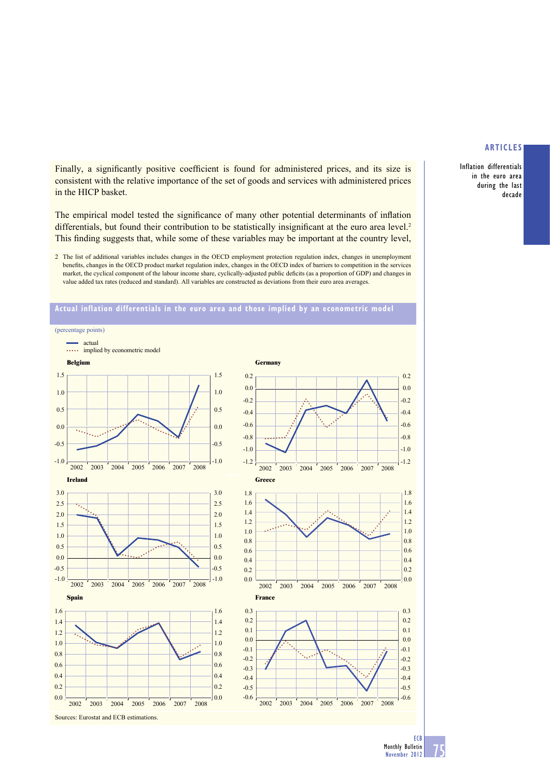Inflation differentials in the euro area during the last decade

Finally, a significantly positive coefficient is found for administered prices, and its size is consistent with the relative importance of the set of goods and services with administered prices in the HICP basket.

The empirical model tested the significance of many other potential determinants of inflation differentials, but found their contribution to be statistically insignificant at the euro area level.<sup>2</sup> This finding suggests that, while some of these variables may be important at the country level,

2 The list of additional variables includes changes in the OECD employment protection regulation index, changes in unemployment benefits, changes in the OECD product market regulation index, changes in the OECD index of barriers to competition in the services market, the cyclical component of the labour income share, cyclically-adjusted public deficits (as a proportion of GDP) and changes in value added tax rates (reduced and standard). All variables are constructed as deviations from their euro area averages.



### **Actual inflation differentials in the euro area and those implied by an econometric model**

75 ECB Monthly Bulletin November 2012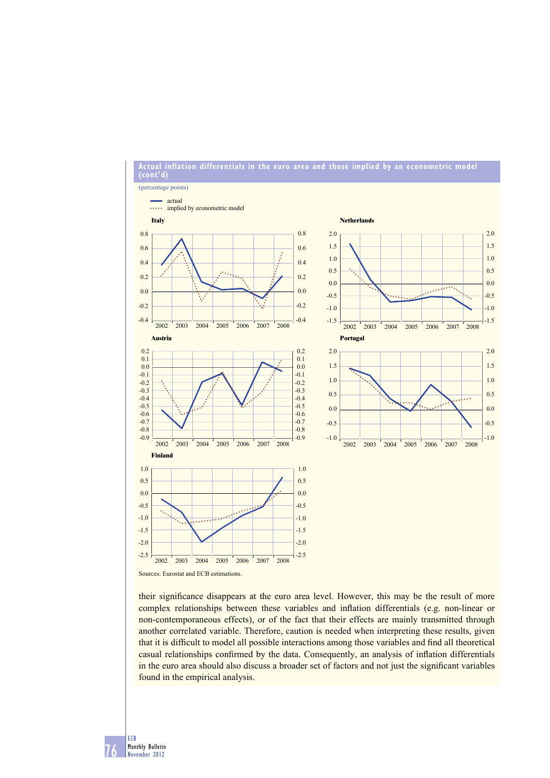

**Actual inflation differentials in the euro area and those implied by an econometric model** 

their significance disappears at the euro area level. However, this may be the result of more complex relationships between these variables and inflation differentials (e.g. non-linear or non-contemporaneous effects), or of the fact that their effects are mainly transmitted through another correlated variable. Therefore, caution is needed when interpreting these results, given that it is difficult to model all possible interactions among those variables and find all theoretical casual relationships confirmed by the data. Consequently, an analysis of inflation differentials in the euro area should also discuss a broader set of factors and not just the significant variables found in the empirical analysis.

76 ECB Monthly Bulletin November 2012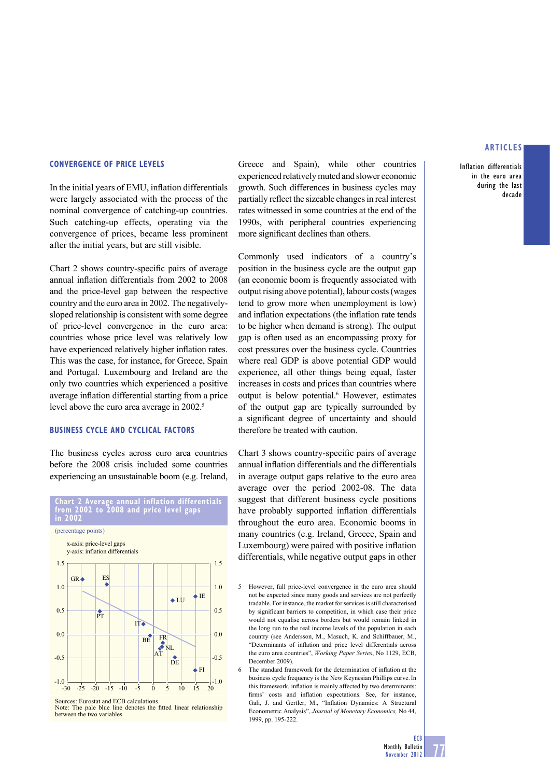Inflation differentials in the euro area during the last decade

### **CONVERGENCE OF PRICE LEVELS**

In the initial years of EMU, inflation differentials were largely associated with the process of the nominal convergence of catching-up countries. Such catching-up effects, operating via the convergence of prices, became less prominent after the initial years, but are still visible.

Chart 2 shows country-specific pairs of average annual inflation differentials from 2002 to 2008 and the price-level gap between the respective country and the euro area in 2002. The negativelysloped relationship is consistent with some degree of price-level convergence in the euro area: countries whose price level was relatively low have experienced relatively higher inflation rates. This was the case, for instance, for Greece, Spain and Portugal. Luxembourg and Ireland are the only two countries which experienced a positive average inflation differential starting from a price level above the euro area average in 2002.<sup>5</sup>

### **BUSINESS CYCLE AND CYCLICAL FACTORS**

The business cycles across euro area countries before the 2008 crisis included some countries experiencing an unsustainable boom (e.g. Ireland,



**Chart 2 Average annual inflation differentials from 2002 to 2008 and price level gaps in 2002**

Sources: Eurostat and ECB calculations. Note: The pale blue line denotes the fitted linear relationship between the two variables.

Greece and Spain), while other countries experienced relatively muted and slower economic growth. Such differences in business cycles may partially reflect the sizeable changes in real interest rates witnessed in some countries at the end of the 1990s, with peripheral countries experiencing more significant declines than others.

Commonly used indicators of a country's position in the business cycle are the output gap (an economic boom is frequently associated with output rising above potential), labour costs (wages tend to grow more when unemployment is low) and inflation expectations (the inflation rate tends to be higher when demand is strong). The output gap is often used as an encompassing proxy for cost pressures over the business cycle. Countries where real GDP is above potential GDP would experience, all other things being equal, faster increases in costs and prices than countries where output is below potential.<sup>6</sup> However, estimates of the output gap are typically surrounded by a significant degree of uncertainty and should therefore be treated with caution.

Chart 3 shows country-specific pairs of average annual inflation differentials and the differentials in average output gaps relative to the euro area average over the period 2002-08. The data suggest that different business cycle positions have probably supported inflation differentials throughout the euro area. Economic booms in many countries (e.g. Ireland, Greece, Spain and Luxembourg) were paired with positive inflation differentials, while negative output gaps in other

- 5 However, full price-level convergence in the euro area should not be expected since many goods and services are not perfectly tradable. For instance, the market for services is still characterised by significant barriers to competition, in which case their price would not equalise across borders but would remain linked in the long run to the real income levels of the population in each country (see Andersson, M., Masuch, K. and Schiffbauer, M., "Determinants of inflation and price level differentials across the euro area countries", *Working Paper Series*, No 1129, ECB, December 2009).
- $6$  The standard framework for the determination of inflation at the business cycle frequency is the New Keynesian Phillips curve.In this framework, inflation is mainly affected by two determinants: firms' costs and inflation expectations. See, for instance, Gali, J. and Gertler, M., "Inflation Dynamics: A Structural Econometric Analysis", *Journal of Monetary Economics,* No 44, 1999, pp. 195-222.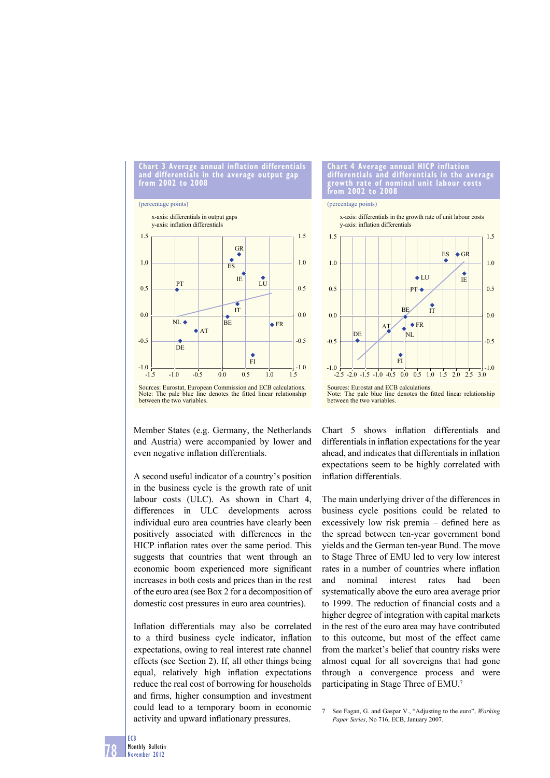**Chart 3 Average annual inflation differentials and differentials in the average output gap from 2002 to 2008**

#### (percentage points)



Note: The pale blue line denotes the fitted linear relationship between the two variables.

Member States (e.g. Germany, the Netherlands and Austria) were accompanied by lower and even negative inflation differentials.

A second useful indicator of a country's position in the business cycle is the growth rate of unit labour costs (ULC). As shown in Chart 4, differences in ULC developments across individual euro area countries have clearly been positively associated with differences in the HICP inflation rates over the same period. This suggests that countries that went through an economic boom experienced more significant increases in both costs and prices than in the rest of the euro area (see Box 2 for a decomposition of domestic cost pressures in euro area countries).

Inflation differentials may also be correlated to a third business cycle indicator, inflation expectations, owing to real interest rate channel effects (see Section 2). If, all other things being equal, relatively high inflation expectations reduce the real cost of borrowing for households and firms, higher consumption and investment could lead to a temporary boom in economic activity and upward inflationary pressures.

#### **Chart 4 Average annual HICP inflation differentials and differentials in the average growth rate of nominal unit labour costs from 2002 to 2008**

#### (percentage points)

y-axis: inflation differentials x-axis: differentials in the growth rate of unit labour costs



Sources: Eurostat and ECB calculations.<br>Note: The pale blue line denotes the fitted linear relationship between the two variables.

Chart 5 shows inflation differentials and differentials in inflation expectations for the year ahead, and indicates that differentials in inflation expectations seem to be highly correlated with inflation differentials.

The main underlying driver of the differences in business cycle positions could be related to excessively low risk premia – defined here as the spread between ten-year government bond yields and the German ten-year Bund. The move to Stage Three of EMU led to very low interest rates in a number of countries where inflation and nominal interest rates had been systematically above the euro area average prior to 1999. The reduction of financial costs and a higher degree of integration with capital markets in the rest of the euro area may have contributed to this outcome, but most of the effect came from the market's belief that country risks were almost equal for all sovereigns that had gone through a convergence process and were participating in Stage Three of EMU.7

7 See Fagan, G. and Gaspar V., "Adjusting to the euro", *Working Paper Series*, No 716, ECB, January 2007.

78 Monthly Bulletin November 2012

ECB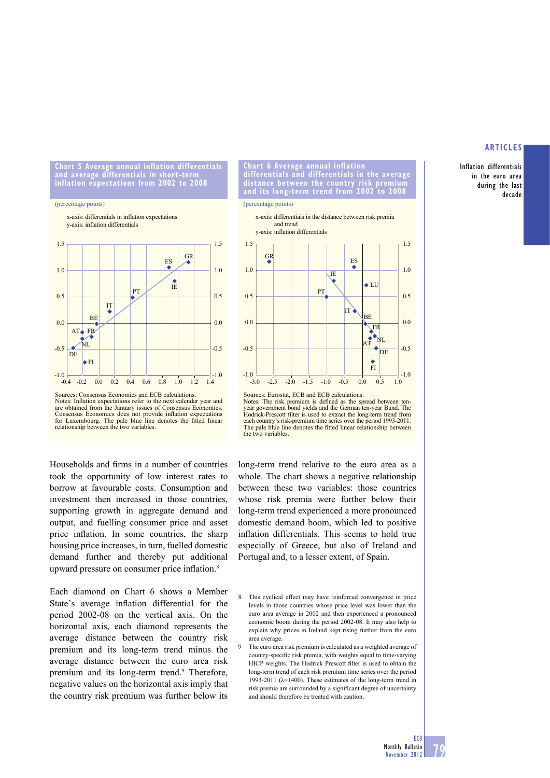Inflation differentials in the euro area during the last decade

**Chart 5 Average annual inflation differentials and average differentials in short-term inflation expectations from 2002 to 2008**

#### (percentage points)

y-axis: inflation differentials x-axis: differentials in inflation expectations





Households and firms in a number of countries took the opportunity of low interest rates to borrow at favourable costs. Consumption and investment then increased in those countries, supporting growth in aggregate demand and output, and fuelling consumer price and asset price inflation. In some countries, the sharp housing price increases, in turn, fuelled domestic demand further and thereby put additional upward pressure on consumer price inflation.<sup>8</sup>

Each diamond on Chart 6 shows a Member State's average inflation differential for the period 2002-08 on the vertical axis. On the horizontal axis, each diamond represents the average distance between the country risk premium and its long-term trend minus the average distance between the euro area risk premium and its long-term trend.<sup>9</sup> Therefore, negative values on the horizontal axis imply that the country risk premium was further below its

**Chart 6 Average annual inflation differentials and differentials in the average distance between the country risk premium lits long-term trend from** 

#### (percentage points)



Sources: Eurostat, ECB and ECB calculations. Notes: The risk premium is defined as the spread between ten-<br>year government bond yields and the German ten-year Bund. The Hodrick-Prescott filter is used to extract the long-term trend from each country's risk-premium time series over the period 1993-2011.<br>The pale blue line denotes the fitted linear relationship between the two variables.

long-term trend relative to the euro area as a whole. The chart shows a negative relationship between these two variables: those countries whose risk premia were further below their long-term trend experienced a more pronounced domestic demand boom, which led to positive inflation differentials. This seems to hold true especially of Greece, but also of Ireland and Portugal and, to a lesser extent, of Spain.

- 8 This cyclical effect may have reinforced convergence in price levels in those countries whose price level was lower than the euro area average in 2002 and then experienced a pronounced economic boom during the period 2002-08. It may also help to explain why prices in Ireland kept rising further from the euro area average.
- 9 The euro area risk premium is calculated as a weighted average of country-specific risk premia, with weights equal to time-varying HICP weights. The Hodrick Prescott filter is used to obtain the long-term trend of each risk premium time series over the period 1993-2011 ( $\lambda$ =1400). These estimates of the long-term trend in risk premia are surrounded by a significant degree of uncertainty and should therefore be treated with caution.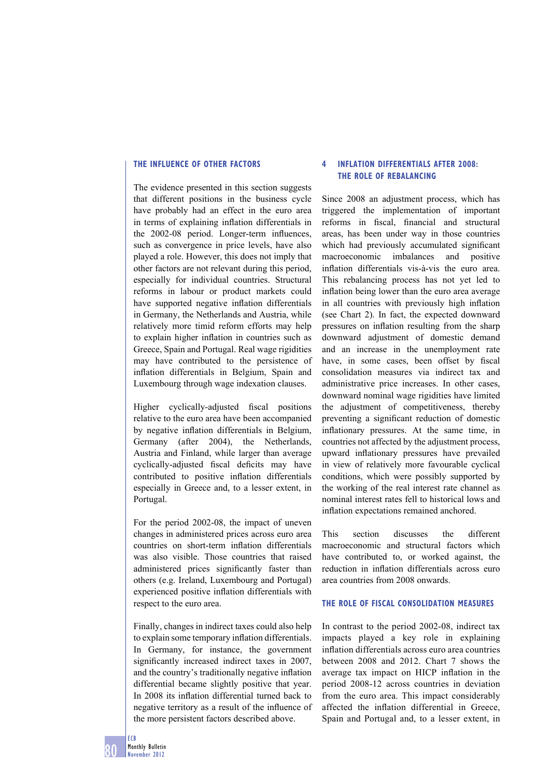### **THE INFLUENCE OF OTHER FACTORS**

The evidence presented in this section suggests that different positions in the business cycle have probably had an effect in the euro area in terms of explaining inflation differentials in the  $2002-08$  period. Longer-term influences, such as convergence in price levels, have also played a role. However, this does not imply that other factors are not relevant during this period, especially for individual countries. Structural reforms in labour or product markets could have supported negative inflation differentials in Germany, the Netherlands and Austria, while relatively more timid reform efforts may help to explain higher inflation in countries such as Greece, Spain and Portugal. Real wage rigidities may have contributed to the persistence of inflation differentials in Belgium, Spain and Luxembourg through wage indexation clauses.

Higher cyclically-adjusted fiscal positions relative to the euro area have been accompanied by negative inflation differentials in Belgium, Germany (after 2004), the Netherlands, Austria and Finland, while larger than average cyclically-adjusted fiscal deficits may have contributed to positive inflation differentials especially in Greece and, to a lesser extent, in Portugal.

For the period 2002-08, the impact of uneven changes in administered prices across euro area countries on short-term inflation differentials was also visible. Those countries that raised administered prices significantly faster than others (e.g. Ireland, Luxembourg and Portugal) experienced positive inflation differentials with respect to the euro area.

Finally, changes in indirect taxes could also help to explain some temporary inflation differentials. In Germany, for instance, the government significantly increased indirect taxes in 2007, and the country's traditionally negative inflation differential became slightly positive that year. In 2008 its inflation differential turned back to negative territory as a result of the influence of the more persistent factors described above.

# **4 INFLATION DIFFERENTIALS AFTER 2008: THE ROLE OF REBALANCING**

Since 2008 an adjustment process, which has triggered the implementation of important reforms in fiscal, financial and structural areas, has been under way in those countries which had previously accumulated significant macroeconomic imbalances and positive inflation differentials vis-à-vis the euro area. This rebalancing process has not yet led to inflation being lower than the euro area average in all countries with previously high inflation (see Chart 2). In fact, the expected downward pressures on inflation resulting from the sharp downward adjustment of domestic demand and an increase in the unemployment rate have, in some cases, been offset by fiscal consolidation measures via indirect tax and administrative price increases. In other cases, downward nominal wage rigidities have limited the adjustment of competitiveness, thereby preventing a significant reduction of domestic inflationary pressures. At the same time, in countries not affected by the adjustment process, upward inflationary pressures have prevailed in view of relatively more favourable cyclical conditions, which were possibly supported by the working of the real interest rate channel as nominal interest rates fell to historical lows and inflation expectations remained anchored.

This section discusses the different macroeconomic and structural factors which have contributed to, or worked against, the reduction in inflation differentials across euro area countries from 2008 onwards.

# **THE ROLE OF FISCAL CONSOLIDATION MEASURES**

In contrast to the period 2002-08, indirect tax impacts played a key role in explaining inflation differentials across euro area countries between 2008 and 2012. Chart 7 shows the average tax impact on HICP inflation in the period 2008-12 across countries in deviation from the euro area. This impact considerably affected the inflation differential in Greece, Spain and Portugal and, to a lesser extent, in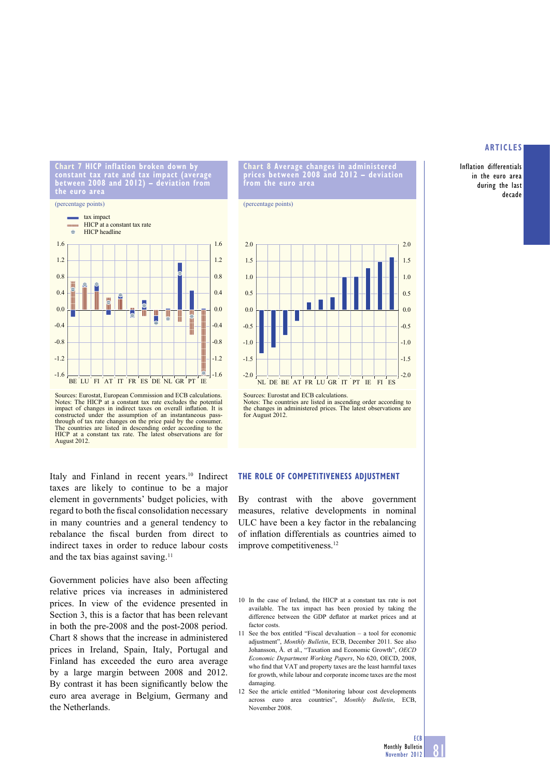Inflation differentials in the euro area during the last decade

**Chart 7 HICP inflation broken down by constant tax rate and tax impact (average between 2008 and 2012) – deviation from the euro area**

#### (percentage points)



Sources: Eurostat, European Commission and ECB calculations. Notes: The HICP at a constant tax rate excludes the potential impact of changes in indirect taxes on overall inflation. It is constructed under the assumption of an instantaneous passthrough of tax rate changes on the price paid by the consumer. The countries are listed in descending order according to the HICP at a constant tax rate. The latest observations are for August 2012.

Italy and Finland in recent years.<sup>10</sup> Indirect taxes are likely to continue to be a major element in governments' budget policies, with regard to both the fiscal consolidation necessary in many countries and a general tendency to rebalance the fiscal burden from direct to indirect taxes in order to reduce labour costs and the tax bias against saving.<sup>11</sup>

Government policies have also been affecting relative prices via increases in administered prices. In view of the evidence presented in Section 3, this is a factor that has been relevant in both the pre-2008 and the post-2008 period. Chart 8 shows that the increase in administered prices in Ireland, Spain, Italy, Portugal and Finland has exceeded the euro area average by a large margin between 2008 and 2012. By contrast it has been significantly below the euro area average in Belgium, Germany and the Netherlands.

**Chart 8 Average changes in administered prices between 2008 and 2012 – deviation from the euro area**

(percentage points)



Sources: Eurostat and ECB calculations. Notes: The countries are listed in ascending order according to the changes in administered prices. The latest observations are for August 2012.

### **THE ROLE OF COMPETITIVENESS ADJUSTMENT**

By contrast with the above government measures, relative developments in nominal ULC have been a key factor in the rebalancing of inflation differentials as countries aimed to improve competitiveness.<sup>12</sup>

- 10 In the case of Ireland, the HICP at a constant tax rate is not available. The tax impact has been proxied by taking the difference between the GDP deflator at market prices and at factor costs.
- 11 See the box entitled "Fiscal devaluation a tool for economic adjustment", *Monthly Bulletin*, ECB, December 2011. See also Johansson, Å. et al., "Taxation and Economic Growth", *OECD Economic Department Working Papers*, No 620, OECD, 2008, who find that VAT and property taxes are the least harmful taxes for growth, while labour and corporate income taxes are the most damaging.
- 12 See the article entitled "Monitoring labour cost developments across euro area countries", *Monthly Bulletin*, ECB, November 2008.

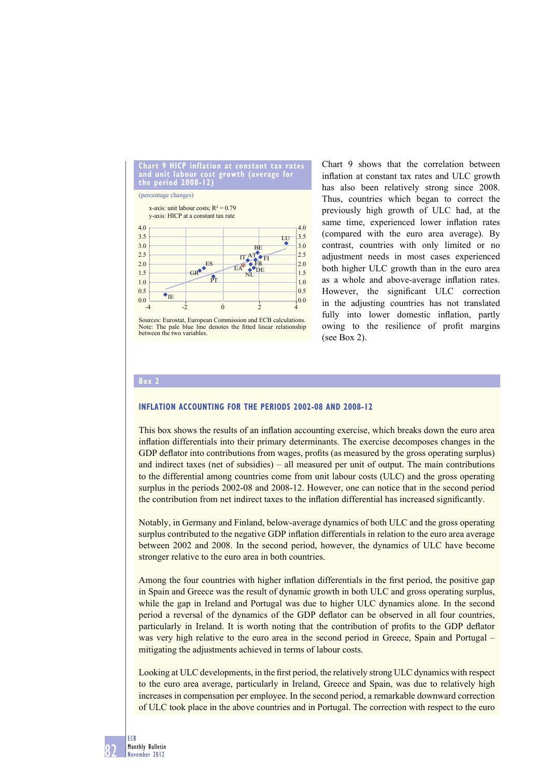

Sources: Eurostat, European Commission and ECB calculations. Note: The pale blue line denotes the fitted linear relationship between the two variables.

Chart 9 shows that the correlation between inflation at constant tax rates and ULC growth has also been relatively strong since 2008. Thus, countries which began to correct the previously high growth of ULC had, at the same time, experienced lower inflation rates (compared with the euro area average). By contrast, countries with only limited or no adjustment needs in most cases experienced both higher ULC growth than in the euro area as a whole and above-average inflation rates. However, the significant ULC correction in the adjusting countries has not translated fully into lower domestic inflation, partly owing to the resilience of profit margins (see Box 2).

### **Box 2**

### **INFLATION ACCOUNTING FOR THE PERIODS 2002-08 AND 2008-12**

This box shows the results of an inflation accounting exercise, which breaks down the euro area inflation differentials into their primary determinants. The exercise decomposes changes in the GDP deflator into contributions from wages, profits (as measured by the gross operating surplus) and indirect taxes (net of subsidies) – all measured per unit of output. The main contributions to the differential among countries come from unit labour costs (ULC) and the gross operating surplus in the periods 2002-08 and 2008-12. However, one can notice that in the second period the contribution from net indirect taxes to the inflation differential has increased significantly.

Notably, in Germany and Finland, below-average dynamics of both ULC and the gross operating surplus contributed to the negative GDP inflation differentials in relation to the euro area average between 2002 and 2008. In the second period, however, the dynamics of ULC have become stronger relative to the euro area in both countries.

Among the four countries with higher inflation differentials in the first period, the positive gap in Spain and Greece was the result of dynamic growth in both ULC and gross operating surplus, while the gap in Ireland and Portugal was due to higher ULC dynamics alone. In the second period a reversal of the dynamics of the GDP deflator can be observed in all four countries, particularly in Ireland. It is worth noting that the contribution of profits to the GDP deflator was very high relative to the euro area in the second period in Greece, Spain and Portugal – mitigating the adjustments achieved in terms of labour costs.

Looking at ULC developments, in the first period, the relatively strong ULC dynamics with respect to the euro area average, particularly in Ireland, Greece and Spain, was due to relatively high increases in compensation per employee. In the second period, a remarkable downward correction of ULC took place in the above countries and in Portugal. The correction with respect to the euro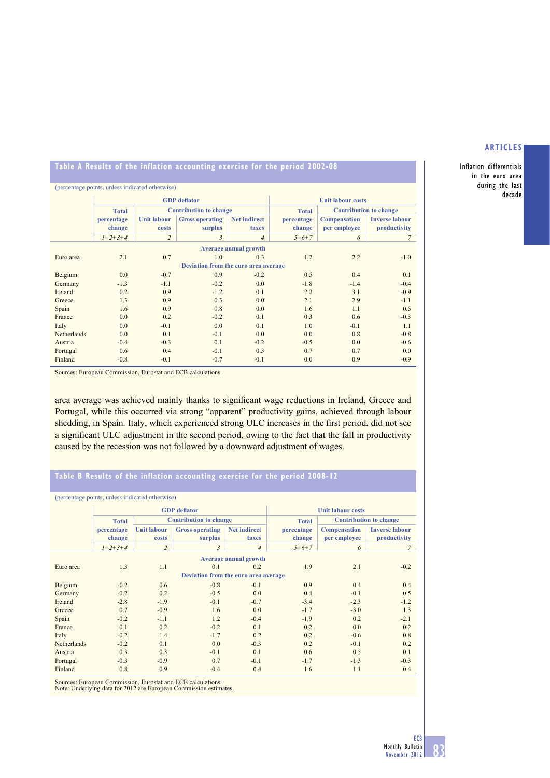Inflation differentials in the euro area during the last decade

## **Table A Results of the inflation accounting exercise for the period 2002-08**

| (percentage points, unless indicated otherwise) |                 |                    |                               |                          |              |                               |                       |  |  |  |  |
|-------------------------------------------------|-----------------|--------------------|-------------------------------|--------------------------|--------------|-------------------------------|-----------------------|--|--|--|--|
|                                                 |                 |                    | <b>GDP</b> deflator           | <b>Unit labour costs</b> |              |                               |                       |  |  |  |  |
|                                                 | <b>Total</b>    |                    | <b>Contribution to change</b> |                          | <b>Total</b> | <b>Contribution to change</b> |                       |  |  |  |  |
|                                                 | percentage      | <b>Unit labour</b> | <b>Gross operating</b>        | <b>Net indirect</b>      | percentage   | <b>Compensation</b>           | <b>Inverse labour</b> |  |  |  |  |
|                                                 | change          | costs              | surplus                       | taxes                    | change       | per employee                  | productivity          |  |  |  |  |
|                                                 | $I = 2 + 3 + 4$ | $\overline{c}$     | 3                             | $\overline{4}$           | $5=6+7$      | 6                             | 7                     |  |  |  |  |
| <b>Average annual growth</b>                    |                 |                    |                               |                          |              |                               |                       |  |  |  |  |
| Euro area                                       | 2.1             | 0.7                | 1.0                           | 0.3                      | 1.2          | 2.2                           | $-1.0$                |  |  |  |  |
| Deviation from the euro area average            |                 |                    |                               |                          |              |                               |                       |  |  |  |  |
| Belgium                                         | 0.0             | $-0.7$             | 0.9                           | $-0.2$                   | 0.5          | 0.4                           | 0.1                   |  |  |  |  |
| Germany                                         | $-1.3$          | $-1.1$             | $-0.2$                        | 0.0                      | $-1.8$       | $-1.4$                        | $-0.4$                |  |  |  |  |
| Ireland                                         | 0.2             | 0.9                | $-1.2$                        | 0.1                      | 2.2          | 3.1                           | $-0.9$                |  |  |  |  |
| Greece                                          | 1.3             | 0.9                | 0.3                           | 0.0                      | 2.1          | 2.9                           | $-1.1$                |  |  |  |  |
| Spain                                           | 1.6             | 0.9                | 0.8                           | 0.0                      | 1.6          | 1.1                           | 0.5                   |  |  |  |  |
| France                                          | 0.0             | 0.2                | $-0.2$                        | 0.1                      | 0.3          | 0.6                           | $-0.3$                |  |  |  |  |
| Italy                                           | 0.0             | $-0.1$             | 0.0                           | 0.1                      | 1.0          | $-0.1$                        | 1.1                   |  |  |  |  |
| Netherlands                                     | 0.0             | 0.1                | $-0.1$                        | 0.0                      | 0.0          | 0.8                           | $-0.8$                |  |  |  |  |
| Austria                                         | $-0.4$          | $-0.3$             | 0.1                           | $-0.2$                   | $-0.5$       | 0.0                           | $-0.6$                |  |  |  |  |
| Portugal                                        | 0.6             | 0.4                | $-0.1$                        | 0.3                      | 0.7          | 0.7                           | 0.0                   |  |  |  |  |
| Finland                                         | $-0.8$          | $-0.1$             | $-0.7$                        | $-0.1$                   | 0.0          | 0.9                           | $-0.9$                |  |  |  |  |

Sources: European Commission, Eurostat and ECB calculations.

area average was achieved mainly thanks to significant wage reductions in Ireland, Greece and Portugal, while this occurred via strong "apparent" productivity gains, achieved through labour shedding, in Spain. Italy, which experienced strong ULC increases in the first period, did not see a significant ULC adjustment in the second period, owing to the fact that the fall in productivity caused by the recession was not followed by a downward adjustment of wages.

# **Table B Results of the inflation accounting exercise for the period 2008-12**

| (percentage points, unless indicated otherwise) |                 |                               |                        |                          |              |                               |                       |  |  |  |  |  |
|-------------------------------------------------|-----------------|-------------------------------|------------------------|--------------------------|--------------|-------------------------------|-----------------------|--|--|--|--|--|
|                                                 |                 |                               | <b>GDP</b> deflator    | <b>Unit labour costs</b> |              |                               |                       |  |  |  |  |  |
|                                                 | <b>Total</b>    | <b>Contribution to change</b> |                        |                          | <b>Total</b> | <b>Contribution to change</b> |                       |  |  |  |  |  |
|                                                 | percentage      | <b>Unit labour</b>            | <b>Gross operating</b> | <b>Net indirect</b>      | percentage   | <b>Compensation</b>           | <b>Inverse labour</b> |  |  |  |  |  |
|                                                 | change          | costs                         | surplus                | taxes                    | change       | per employee                  | productivity          |  |  |  |  |  |
|                                                 | $I = 2 + 3 + 4$ | $\overline{c}$                | $\mathfrak{Z}$         | $\overline{4}$           | $5=6+7$      | 6                             | $\overline{7}$        |  |  |  |  |  |
| <b>Average annual growth</b>                    |                 |                               |                        |                          |              |                               |                       |  |  |  |  |  |
| Euro area                                       | 1.3             | 1.1                           | 0.1                    | 0.2                      | 1.9          | 2.1                           | $-0.2$                |  |  |  |  |  |
| Deviation from the euro area average            |                 |                               |                        |                          |              |                               |                       |  |  |  |  |  |
| Belgium                                         | $-0.2$          | 0.6                           | $-0.8$                 | $-0.1$                   | 0.9          | 0.4                           | 0.4                   |  |  |  |  |  |
| Germany                                         | $-0.2$          | 0.2                           | $-0.5$                 | 0.0                      | 0.4          | $-0.1$                        | 0.5                   |  |  |  |  |  |
| Ireland                                         | $-2.8$          | $-1.9$                        | $-0.1$                 | $-0.7$                   | $-3.4$       | $-2.3$                        | $-1.2$                |  |  |  |  |  |
| Greece                                          | 0.7             | $-0.9$                        | 1.6                    | 0.0                      | $-1.7$       | $-3.0$                        | 1.3                   |  |  |  |  |  |
| Spain                                           | $-0.2$          | $-1.1$                        | 1.2                    | $-0.4$                   | $-1.9$       | 0.2                           | $-2.1$                |  |  |  |  |  |
| France                                          | 0.1             | 0.2                           | $-0.2$                 | 0.1                      | 0.2          | 0.0                           | 0.2                   |  |  |  |  |  |
| Italy                                           | $-0.2$          | 1.4                           | $-1.7$                 | 0.2                      | 0.2          | $-0.6$                        | 0.8                   |  |  |  |  |  |
| Netherlands                                     | $-0.2$          | 0.1                           | 0.0                    | $-0.3$                   | 0.2          | $-0.1$                        | 0.2                   |  |  |  |  |  |
| Austria                                         | 0.3             | 0.3                           | $-0.1$                 | 0.1                      | 0.6          | 0.5                           | 0.1                   |  |  |  |  |  |
| Portugal                                        | $-0.3$          | $-0.9$                        | 0.7                    | $-0.1$                   | $-1.7$       | $-1.3$                        | $-0.3$                |  |  |  |  |  |
| Finland                                         | 0.8             | 0.9                           | $-0.4$                 | 0.4                      | 1.6          | 1.1                           | 0.4                   |  |  |  |  |  |

Sources: European Commission, Eurostat and ECB calculations. Note: Underlying data for 2012 are European Commission estimates.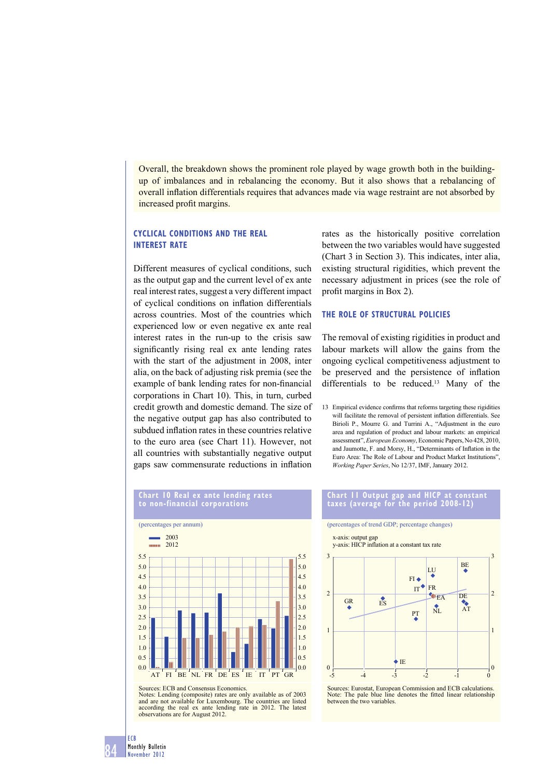Overall, the breakdown shows the prominent role played by wage growth both in the buildingup of imbalances and in rebalancing the economy. But it also shows that a rebalancing of overall inflation differentials requires that advances made via wage restraint are not absorbed by increased profit margins.

# **CYCLICAL CONDITIONS AND THE REAL INTEREST RATE**

Different measures of cyclical conditions, such as the output gap and the current level of ex ante real interest rates, suggest a very different impact of cyclical conditions on inflation differentials across countries. Most of the countries which experienced low or even negative ex ante real interest rates in the run-up to the crisis saw significantly rising real ex ante lending rates with the start of the adjustment in 2008, inter alia, on the back of adjusting risk premia (see the example of bank lending rates for non-financial corporations in Chart 10). This, in turn, curbed credit growth and domestic demand. The size of the negative output gap has also contributed to subdued inflation rates in these countries relative to the euro area (see Chart 11). However, not all countries with substantially negative output gaps saw commensurate reductions in inflation

rates as the historically positive correlation between the two variables would have suggested (Chart 3 in Section 3). This indicates, inter alia, existing structural rigidities, which prevent the necessary adjustment in prices (see the role of profit margins in Box 2).

### **THE ROLE OF STRUCTURAL POLICIES**

The removal of existing rigidities in product and labour markets will allow the gains from the ongoing cyclical competitiveness adjustment to be preserved and the persistence of inflation differentials to be reduced.<sup>13</sup> Many of the

13 Empirical evidence confirms that reforms targeting these rigidities will facilitate the removal of persistent inflation differentials. See Birioli P., Mourre G. and Turrini A., "Adjustment in the euro area and regulation of product and labour markets: an empirical assessment", *European Economy*, Economic Papers, No 428, 2010, and Jaumotte, F. and Morsy, H., "Determinants of Inflation in the Euro Area: The Role of Labour and Product Market Institutions", *Working Paper Series*, No 12/37, IMF, January 2012.





Sources: ECB and Consensus Economics.

84

ECB Monthly Bulletin November 2012

Notes: Lending (composite) rates are only available as of 2003 and are not available for Luxembourg. The countries are listed according the real ex ante lending rate in 2012. The latest observations are for August 2012.

### **Chart 11 Output gap and HICP at constant taxes (average for the period 2008-12)**



Sources: Eurostat, European Commission and ECB calculations.<br>Note: The pale blue line denotes the fitted linear relationship between the two variables.